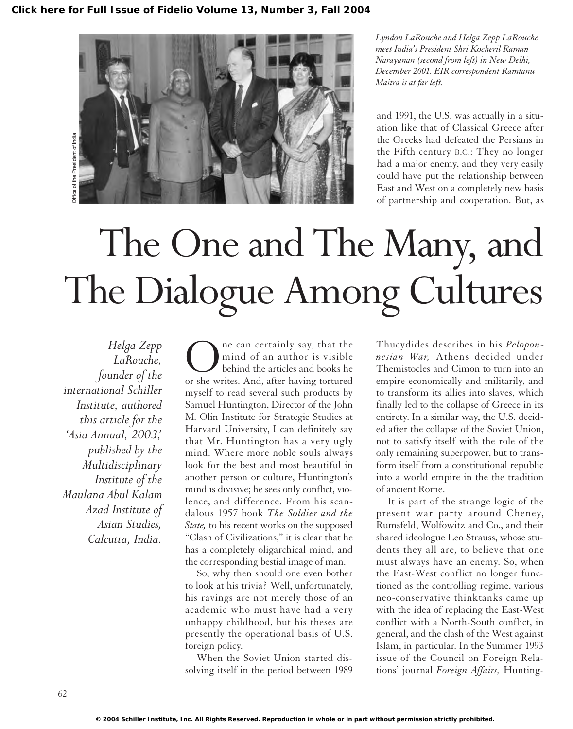

*Lyndon LaRouche and Helga Zepp LaRouche meet India's President Shri Kocheril Raman Narayanan (second from left) in New Delhi, December 2001. EIR correspondent Ramtanu Maitra is at far left.*

and 1991, the U.S. was actually in a situation like that of Classical Greece after the Greeks had defeated the Persians in the Fifth century B.C.: They no longer had a major enemy, and they very easily could have put the relationship between East and West on a completely new basis of partnership and cooperation. But, as

# The One and The Many, and The Dialogue Among Cultures

*Helga Zepp LaRouche, founder of the international Schiller Institute, authored this article for the 'Asia Annual, 2003,' published by the Multidisciplinary Institute of the Maulana Abul Kalam Azad Institute of Asian Studies, Calcutta, India.*

One can certainly say, that the or she writes. And, after having tortured mind of an author is visible behind the articles and books he myself to read several such products by Samuel Huntington, Director of the John M. Olin Institute for Strategic Studies at Harvard University, I can definitely say that Mr. Huntington has a very ugly mind. Where more noble souls always look for the best and most beautiful in another person or culture, Huntington's mind is divisive; he sees only conflict, violence, and difference. From his scandalous 1957 book *The Soldier and the State,* to his recent works on the supposed "Clash of Civilizations," it is clear that he has a completely oligarchical mind, and the corresponding bestial image of man.

So, why then should one even bother to look at his trivia? Well, unfortunately, his ravings are not merely those of an academic who must have had a very unhappy childhood, but his theses are presently the operational basis of U.S. foreign policy.

When the Soviet Union started dissolving itself in the period between 1989

Thucydides describes in his *Peloponnesian War,* Athens decided under Themistocles and Cimon to turn into an empire economically and militarily, and to transform its allies into slaves, which finally led to the collapse of Greece in its entirety. In a similar way, the U.S. decided after the collapse of the Soviet Union, not to satisfy itself with the role of the only remaining superpower, but to transform itself from a constitutional republic into a world empire in the the tradition of ancient Rome.

It is part of the strange logic of the present war party around Cheney, Rumsfeld, Wolfowitz and Co., and their shared ideologue Leo Strauss, whose students they all are, to believe that one must always have an enemy. So, when the East-West conflict no longer functioned as the controlling regime, various neo-conservative thinktanks came up with the idea of replacing the East-West conflict with a North-South conflict, in general, and the clash of the West against Islam, in particular. In the Summer 1993 issue of the Council on Foreign Relations' journal *Foreign Affairs,* Hunting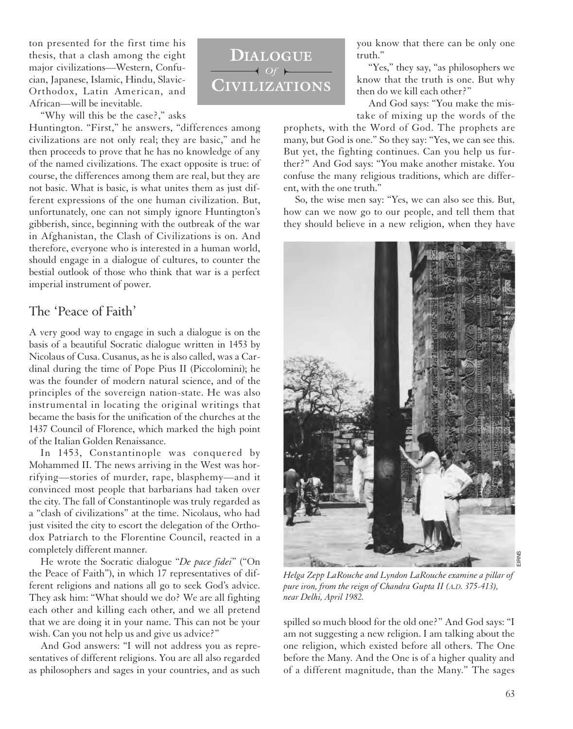ton presented for the first time his thesis, that a clash among the eight major civilizations—Western, Confucian, Japanese, Islamic, Hindu, Slavic-Orthodox, Latin American, and African—will be inevitable.

"Why will this be the case?," asks

Huntington. "First," he answers, "differences among civilizations are not only real; they are basic," and he then proceeds to prove that he has no knowledge of any of the named civilizations. The exact opposite is true: of course, the differences among them are real, but they are not basic. What is basic, is what unites them as just different expressions of the one human civilization. But, unfortunately, one can not simply ignore Huntington's gibberish, since, beginning with the outbreak of the war in Afghanistan, the Clash of Civilizations is on. And therefore, everyone who is interested in a human world, should engage in a dialogue of cultures, to counter the bestial outlook of those who think that war is a perfect imperial instrument of power.

### The 'Peace of Faith'

A very good way to engage in such a dialogue is on the basis of a beautiful Socratic dialogue written in 1453 by Nicolaus of Cusa. Cusanus, as he is also called, was a Cardinal during the time of Pope Pius II (Piccolomini); he was the founder of modern natural science, and of the principles of the sovereign nation-state. He was also instrumental in locating the original writings that became the basis for the unification of the churches at the 1437 Council of Florence, which marked the high point of the Italian Golden Renaissance.

In 1453, Constantinople was conquered by Mohammed II. The news arriving in the West was horrifying—stories of murder, rape, blasphemy—and it convinced most people that barbarians had taken over the city. The fall of Constantinople was truly regarded as a "clash of civilizations" at the time. Nicolaus, who had just visited the city to escort the delegation of the Orthodox Patriarch to the Florentine Council, reacted in a completely different manner.

He wrote the Socratic dialogue "*De pace fidei*" ("On the Peace of Faith"), in which 17 representatives of different religions and nations all go to seek God's advice. They ask him: "What should we do? We are all fighting each other and killing each other, and we all pretend that we are doing it in your name. This can not be your wish. Can you not help us and give us advice?"

And God answers: "I will not address you as representatives of different religions. You are all also regarded as philosophers and sages in your countries, and as such



you know that there can be only one truth."

"Yes," they say, "as philosophers we know that the truth is one. But why then do we kill each other?"

And God says: "You make the mistake of mixing up the words of the

prophets, with the Word of God. The prophets are many, but God is one." So they say: "Yes, we can see this. But yet, the fighting continues. Can you help us further?" And God says: "You make another mistake. You confuse the many religious traditions, which are different, with the one truth."

So, the wise men say: "Yes, we can also see this. But, how can we now go to our people, and tell them that they should believe in a new religion, when they have



*Helga Zepp LaRouche and Lyndon LaRouche examine a pillar of pure iron, from the reign of Chandra Gupta II (A.D. 375-413), near Delhi, April 1982.*

spilled so much blood for the old one?" And God says: "I am not suggesting a new religion. I am talking about the one religion, which existed before all others. The One before the Many. And the One is of a higher quality and of a different magnitude, than the Many." The sages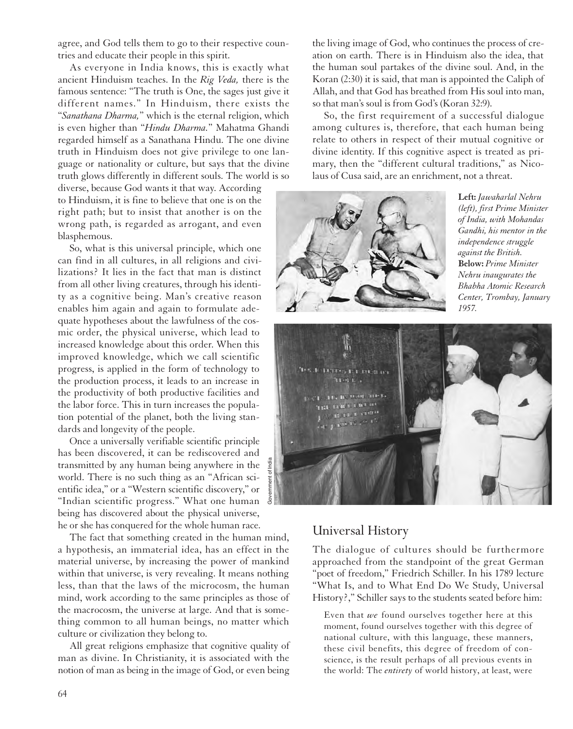agree, and God tells them to go to their respective countries and educate their people in this spirit.

As everyone in India knows, this is exactly what ancient Hinduism teaches. In the *Rig Veda,* there is the famous sentence: "The truth is One, the sages just give it different names." In Hinduism, there exists the "*Sanathana Dharma,*" which is the eternal religion, which is even higher than "*Hindu Dharma.*" Mahatma Ghandi regarded himself as a Sanathana Hindu. The one divine truth in Hinduism does not give privilege to one language or nationality or culture, but says that the divine truth glows differently in different souls. The world is so

diverse, because God wants it that way. According to Hinduism, it is fine to believe that one is on the right path; but to insist that another is on the wrong path, is regarded as arrogant, and even blasphemous.

So, what is this universal principle, which one can find in all cultures, in all religions and civilizations? It lies in the fact that man is distinct from all other living creatures, through his identity as a cognitive being. Man's creative reason enables him again and again to formulate adequate hypotheses about the lawfulness of the cosmic order, the physical universe, which lead to increased knowledge about this order. When this improved knowledge, which we call scientific progress, is applied in the form of technology to the production process, it leads to an increase in the productivity of both productive facilities and the labor force. This in turn increases the population potential of the planet, both the living standards and longevity of the people.

Once a universally verifiable scientific principle has been discovered, it can be rediscovered and transmitted by any human being anywhere in the world. There is no such thing as an "African scientific idea," or a "Western scientific discovery," or "Indian scientific progress." What one human being has discovered about the physical universe, he or she has conquered for the whole human race.

The fact that something created in the human mind, a hypothesis, an immaterial idea, has an effect in the material universe, by increasing the power of mankind within that universe, is very revealing. It means nothing less, than that the laws of the microcosm, the human mind, work according to the same principles as those of the macrocosm, the universe at large. And that is something common to all human beings, no matter which culture or civilization they belong to.

All great religions emphasize that cognitive quality of man as divine. In Christianity, it is associated with the notion of man as being in the image of God, or even being the living image of God, who continues the process of creation on earth. There is in Hinduism also the idea, that the human soul partakes of the divine soul. And, in the Koran (2:30) it is said, that man is appointed the Caliph of Allah, and that God has breathed from His soul into man, so that man's soul is from God's (Koran 32:9).

So, the first requirement of a successful dialogue among cultures is, therefore, that each human being relate to others in respect of their mutual cognitive or divine identity. If this cognitive aspect is treated as primary, then the "different cultural traditions," as Nicolaus of Cusa said, are an enrichment, not a threat.



**Left:** *Jawaharlal Nehru (left), first Prime Minister of India, with Mohandas Gandhi, his mentor in the independence struggle against the British.*  **Below:** *Prime Minister Nehru inaugurates the Bhabha Atomic Research Center, Trombay, January 1957.*



## Universal History

The dialogue of cultures should be furthermore approached from the standpoint of the great German "poet of freedom," Friedrich Schiller. In his 1789 lecture "What Is, and to What End Do We Study, Universal History?," Schiller says to the students seated before him:

Even that *we* found ourselves together here at this moment, found ourselves together with this degree of national culture, with this language, these manners, these civil benefits, this degree of freedom of conscience, is the result perhaps of all previous events in the world: The *entirety* of world history, at least, were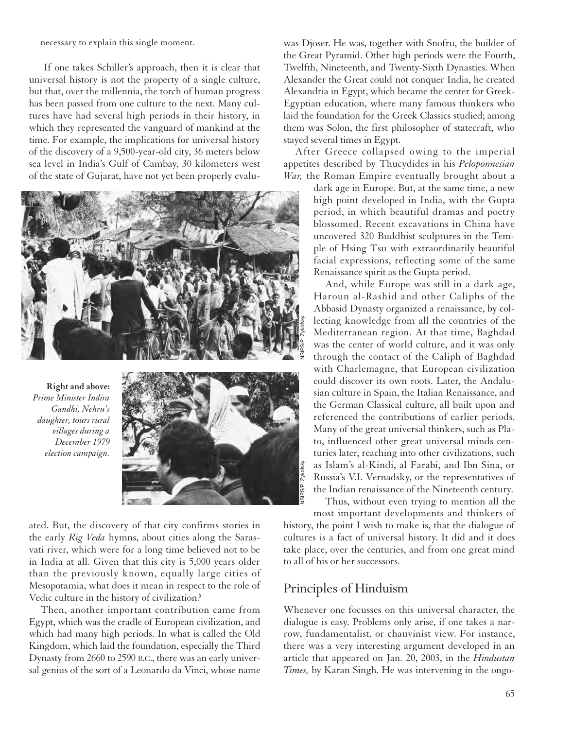necessary to explain this single moment.

If one takes Schiller's approach, then it is clear that universal history is not the property of a single culture, but that, over the millennia, the torch of human progress has been passed from one culture to the next. Many cultures have had several high periods in their history, in which they represented the vanguard of mankind at the time. For example, the implications for universal history of the discovery of a 9,500-year-old city, 36 meters below sea level in India's Gulf of Cambay, 30 kilometers west of the state of Gujarat, have not yet been properly evalu-



**Right and above:** *Prime Minister Indira Gandhi, Nehru's daughter, tours rural villages during a December 1979 election campaign.*



ated. But, the discovery of that city confirms stories in the early *Rig Veda* hymns, about cities along the Sarasvati river, which were for a long time believed not to be in India at all. Given that this city is 5,000 years older than the previously known, equally large cities of Mesopotamia, what does it mean in respect to the role of Vedic culture in the history of civilization?

Then, another important contribution came from Egypt, which was the cradle of European civilization, and which had many high periods. In what is called the Old Kingdom, which laid the foundation, especially the Third Dynasty from 2660 to 2590 B.C., there was an early universal genius of the sort of a Leonardo da Vinci, whose name

was Djoser. He was, together with Snofru, the builder of the Great Pyramid. Other high periods were the Fourth, Twelfth, Nineteenth, and Twenty-Sixth Dynasties. When Alexander the Great could not conquer India, he created Alexandria in Egypt, which became the center for Greek-Egyptian education, where many famous thinkers who laid the foundation for the Greek Classics studied; among them was Solon, the first philosopher of statecraft, who stayed several times in Egypt.

After Greece collapsed owing to the imperial appetites described by Thucydides in his *Peloponnesian War,* the Roman Empire eventually brought about a

> dark age in Europe. But, at the same time, a new high point developed in India, with the Gupta period, in which beautiful dramas and poetry blossomed. Recent excavations in China have uncovered 320 Buddhist sculptures in the Temple of Hsing Tsu with extraordinarily beautiful facial expressions, reflecting some of the same Renaissance spirit as the Gupta period.

> And, while Europe was still in a dark age, Haroun al-Rashid and other Caliphs of the Abbasid Dynasty organized a renaissance, by collecting knowledge from all the countries of the Mediterranean region. At that time, Baghdad was the center of world culture, and it was only through the contact of the Caliph of Baghdad with Charlemagne, that European civilization could discover its own roots. Later, the Andalusian culture in Spain, the Italian Renaissance, and the German Classical culture, all built upon and referenced the contributions of earlier periods. Many of the great universal thinkers, such as Plato, influenced other great universal minds centuries later, reaching into other civilizations, such as Islam's al-Kindi, al Farabi, and Ibn Sina, or Russia's V.I. Vernadsky, or the representatives of the Indian renaissance of the Nineteenth century.

Thus, without even trying to mention all the most important developments and thinkers of history, the point I wish to make is, that the dialogue of cultures is a fact of universal history. It did and it does take place, over the centuries, and from one great mind to all of his or her successors.

## Principles of Hinduism

Whenever one focusses on this universal character, the dialogue is easy. Problems only arise, if one takes a narrow, fundamentalist, or chauvinist view. For instance, there was a very interesting argument developed in an article that appeared on Jan. 20, 2003, in the *Hindustan Times,* by Karan Singh. He was intervening in the ongo-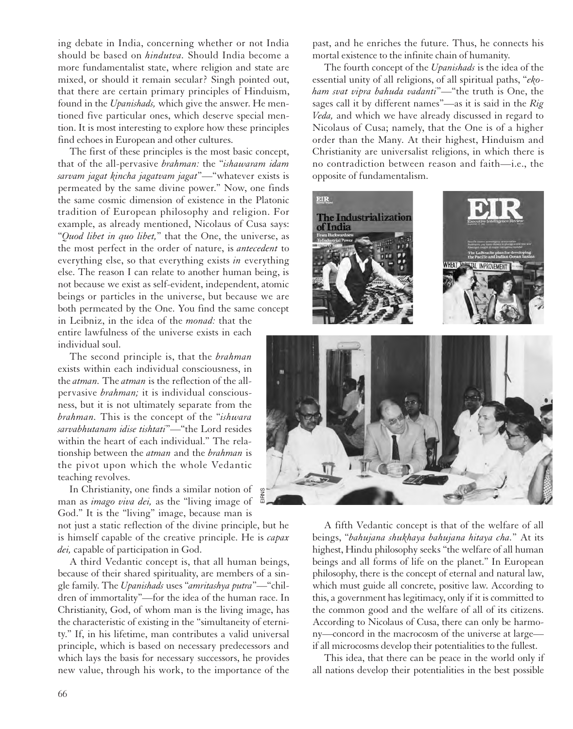ing debate in India, concerning whether or not India should be based on *hindutva.* Should India become a more fundamentalist state, where religion and state are mixed, or should it remain secular? Singh pointed out, that there are certain primary principles of Hinduism, found in the *Upanishads,* which give the answer. He mentioned five particular ones, which deserve special mention. It is most interesting to explore how these principles find echoes in European and other cultures.

The first of these principles is the most basic concept, that of the all-pervasive *brahman:* the "*ishawaram idam sarvam jagat kincha jagatvam jagat*"—"whatever exists is permeated by the same divine power." Now, one finds the same cosmic dimension of existence in the Platonic tradition of European philosophy and religion. For example, as already mentioned, Nicolaus of Cusa says: "*Quod libet in quo libet,*" that the One, the universe, as the most perfect in the order of nature, is *antecedent* to everything else, so that everything exists *in* everything else. The reason I can relate to another human being, is not because we exist as self-evident, independent, atomic beings or particles in the universe, but because we are both permeated by the One. You find the same concept

in Leibniz, in the idea of the *monad:* that the entire lawfulness of the universe exists in each individual soul.

The second principle is, that the *brahman* exists within each individual consciousness, in the *atman.* The *atman* is the reflection of the allpervasive *brahman;* it is individual consciousness, but it is not ultimately separate from the *brahman.* This is the concept of the "*ishwara sarvabhutanam idise tishtati*"—"the Lord resides within the heart of each individual." The relationship between the *atman* and the *brahman* is the pivot upon which the whole Vedantic teaching revolves.

In Christianity, one finds a similar notion of man as *imago viva dei,* as the "living image of God." It is the "living" image, because man is

not just a static reflection of the divine principle, but he is himself capable of the creative principle. He is *capax dei,* capable of participation in God.

A third Vedantic concept is, that all human beings, because of their shared spirituality, are members of a single family. The *Upanishads* uses "*amritashya putra*"—"children of immortality"—for the idea of the human race. In Christianity, God, of whom man is the living image, has the characteristic of existing in the "simultaneity of eternity." If, in his lifetime, man contributes a valid universal principle, which is based on necessary predecessors and which lays the basis for necessary successors, he provides new value, through his work, to the importance of the

past, and he enriches the future. Thus, he connects his mortal existence to the infinite chain of humanity.

The fourth concept of the *Upanishads* is the idea of the essential unity of all religions, of all spiritual paths, "*ekoham svat vipra bahuda vadanti*"—"the truth is One, the sages call it by different names"—as it is said in the *Rig Veda,* and which we have already discussed in regard to Nicolaus of Cusa; namely, that the One is of a higher order than the Many. At their highest, Hinduism and Christianity are universalist religions, in which there is no contradiction between reason and faith—i.e., the opposite of fundamentalism.





A fifth Vedantic concept is that of the welfare of all beings, "*bahujana shukhaya bahujana hitaya cha.*" At its highest, Hindu philosophy seeks "the welfare of all human beings and all forms of life on the planet." In European philosophy, there is the concept of eternal and natural law, which must guide all concrete, positive law. According to this, a government has legitimacy, only if it is committed to the common good and the welfare of all of its citizens. According to Nicolaus of Cusa, there can only be harmony—concord in the macrocosm of the universe at large if all microcosms develop their potentialities to the fullest.

This idea, that there can be peace in the world only if all nations develop their potentialities in the best possible